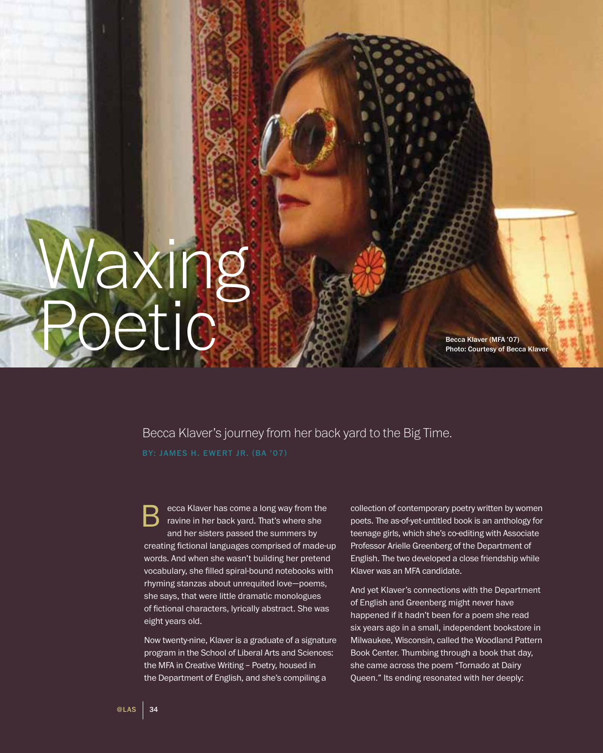## Becca Klaver (MFA '07)

## Photo: Courtesy of Becca Klaver

## Becca Klaver's journey from her back yard to the Big Time.

ecca Klaver has come a long way from the ravine in her back yard. That's where she and her sisters passed the summers by creating fictional languages comprised of made-up words. And when she wasn't building her pretend vocabulary, she filled spiral-bound notebooks with rhyming stanzas about unrequited love—poems, she says, that were little dramatic monologues of fictional characters, lyrically abstract. She was eight years old. B

Now twenty-nine, Klaver is a graduate of a signature program in the School of Liberal Arts and Sciences: the MFA in Creative Writing – Poetry, housed in the Department of English, and she's compiling a

collection of contemporary poetry written by women poets. The as-of-yet-untitled book is an anthology for teenage girls, which she's co-editing with Associate Professor Arielle Greenberg of the Department of English. The two developed a close friendship while Klaver was an MFA candidate.

And yet Klaver's connections with the Department of English and Greenberg might never have happened if it hadn't been for a poem she read six years ago in a small, independent bookstore in Milwaukee, Wisconsin, called the Woodland Pattern Book Center. Thumbing through a book that day, she came across the poem "Tornado at Dairy Queen." Its ending resonated with her deeply:

Waxing

Poetic